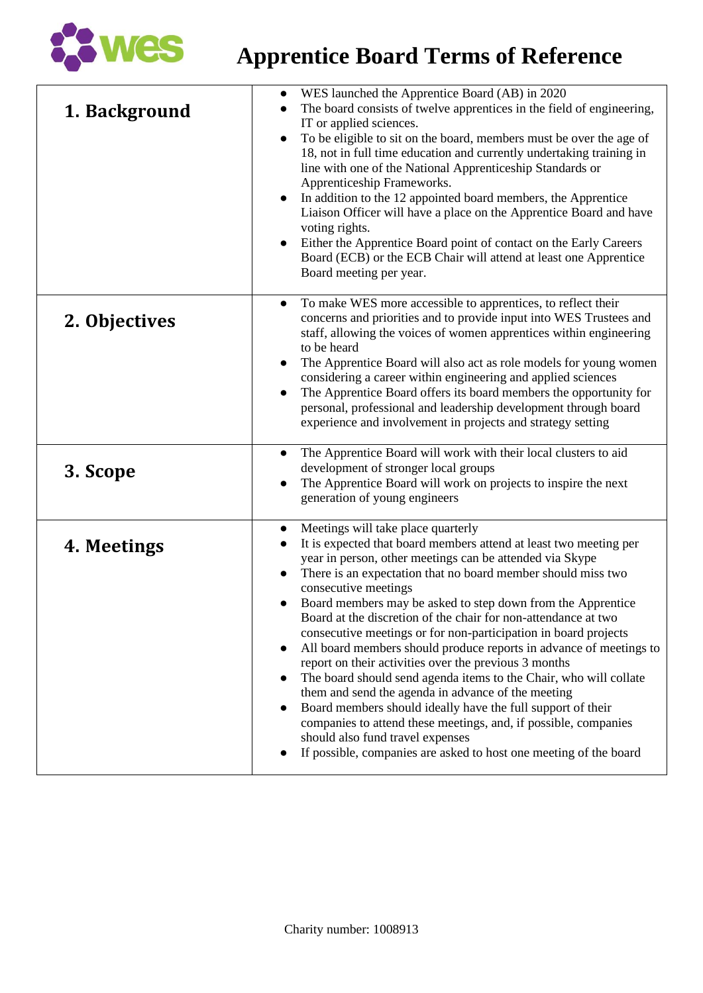

## **Apprentice Board Terms of Reference**

| 1. Background | WES launched the Apprentice Board (AB) in 2020<br>The board consists of twelve apprentices in the field of engineering,<br>IT or applied sciences.<br>To be eligible to sit on the board, members must be over the age of<br>$\bullet$<br>18, not in full time education and currently undertaking training in<br>line with one of the National Apprenticeship Standards or<br>Apprenticeship Frameworks.<br>In addition to the 12 appointed board members, the Apprentice<br>Liaison Officer will have a place on the Apprentice Board and have<br>voting rights.<br>Either the Apprentice Board point of contact on the Early Careers<br>Board (ECB) or the ECB Chair will attend at least one Apprentice<br>Board meeting per year.                                                                                                                                                                                                                                                                      |
|---------------|-------------------------------------------------------------------------------------------------------------------------------------------------------------------------------------------------------------------------------------------------------------------------------------------------------------------------------------------------------------------------------------------------------------------------------------------------------------------------------------------------------------------------------------------------------------------------------------------------------------------------------------------------------------------------------------------------------------------------------------------------------------------------------------------------------------------------------------------------------------------------------------------------------------------------------------------------------------------------------------------------------------|
| 2. Objectives | To make WES more accessible to apprentices, to reflect their<br>$\bullet$<br>concerns and priorities and to provide input into WES Trustees and<br>staff, allowing the voices of women apprentices within engineering<br>to be heard<br>The Apprentice Board will also act as role models for young women<br>$\bullet$<br>considering a career within engineering and applied sciences<br>The Apprentice Board offers its board members the opportunity for<br>$\bullet$<br>personal, professional and leadership development through board<br>experience and involvement in projects and strategy setting                                                                                                                                                                                                                                                                                                                                                                                                  |
| 3. Scope      | The Apprentice Board will work with their local clusters to aid<br>$\bullet$<br>development of stronger local groups<br>The Apprentice Board will work on projects to inspire the next<br>generation of young engineers                                                                                                                                                                                                                                                                                                                                                                                                                                                                                                                                                                                                                                                                                                                                                                                     |
| 4. Meetings   | Meetings will take place quarterly<br>$\bullet$<br>It is expected that board members attend at least two meeting per<br>year in person, other meetings can be attended via Skype<br>There is an expectation that no board member should miss two<br>$\bullet$<br>consecutive meetings<br>Board members may be asked to step down from the Apprentice<br>Board at the discretion of the chair for non-attendance at two<br>consecutive meetings or for non-participation in board projects<br>All board members should produce reports in advance of meetings to<br>$\bullet$<br>report on their activities over the previous 3 months<br>The board should send agenda items to the Chair, who will collate<br>them and send the agenda in advance of the meeting<br>Board members should ideally have the full support of their<br>companies to attend these meetings, and, if possible, companies<br>should also fund travel expenses<br>If possible, companies are asked to host one meeting of the board |